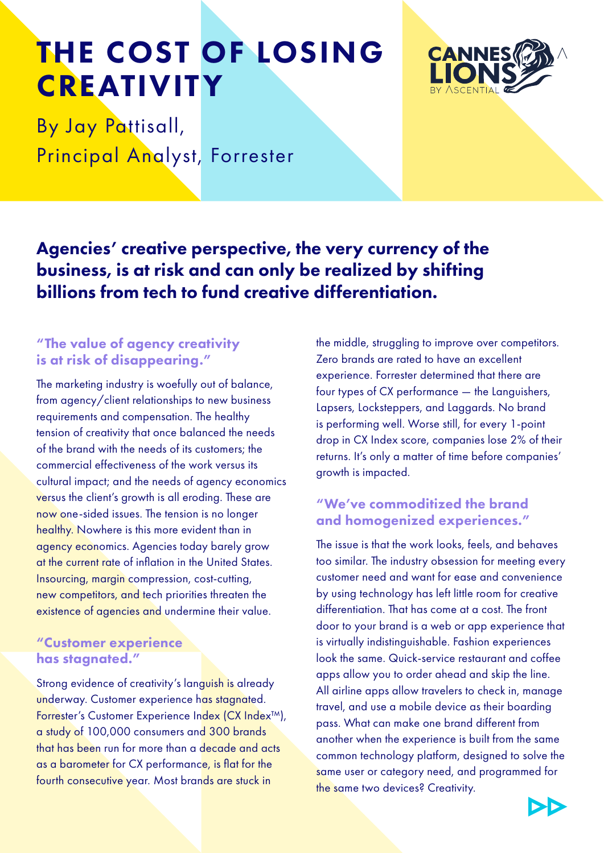## THE COST OF LOSING **CREATIVITY**



By Jay Pattisall, Principal Analyst, Forrester

Agencies' creative perspective, the very currency of the business, is at risk and can only be realized by shifting billions from tech to fund creative differentiation.

#### "The value of agency creativity is at risk of disappearing."

The marketing industry is woefully out of balance, from agency/client relationships to new business requirements and compensation. The healthy tension of creativity that once balanced the needs of the brand with the needs of its customers; the commercial effectiveness of the work versus its cultural impact; and the needs of agency economics versus the client's growth is all eroding. These are now one-sided issues. The tension is no longer healthy. Nowhere is this more evident than in agency economics. Agencies today barely grow at the current rate of inflation in the United States. Insourcing, margin compression, cost-cutting, new competitors, and tech priorities threaten the existence of agencies and undermine their value.

#### "Customer experience has stagnated."

Strong evidence of creativity's languish is already underway. Customer experience has stagnated. Forrester's Customer Experience Index (CX Index™), a study of 100,000 consumers and 300 brands that has been run for more than a decade and acts as a barometer for CX performance, is flat for the fourth consecutive year. Most brands are stuck in

the middle, struggling to improve over competitors. Zero brands are rated to have an excellent experience. Forrester determined that there are four types of CX performance — the Languishers, Lapsers, Locksteppers, and Laggards. No brand is performing well. Worse still, for every 1-point drop in CX Index score, companies lose 2% of their returns. It's only a matter of time before companies' growth is impacted.

## "We've commoditized the brand and homogenized experiences."

The issue is that the work looks, feels, and behaves too similar. The industry obsession for meeting every customer need and want for ease and convenience by using technology has left little room for creative differentiation. That has come at a cost. The front door to your brand is a web or app experience that is virtually indistinguishable. Fashion experiences look the same. Quick-service restaurant and coffee apps allow you to order ahead and skip the line. All airline apps allow travelers to check in, manage travel, and use a mobile device as their boarding pass. What can make one brand different from another when the experience is built from the same common technology platform, designed to solve the same user or category need, and programmed for the same two devices? Creativity.